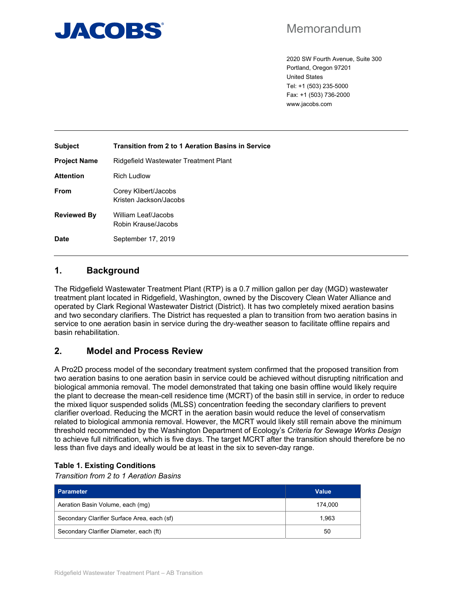

## Memorandum

2020 SW Fourth Avenue, Suite 300 Portland, Oregon 97201 United States Tel: +1 (503) 235-5000 Fax: +1 (503) 736-2000 www.jacobs.com

| <b>Subject</b>      | <b>Transition from 2 to 1 Aeration Basins in Service</b> |
|---------------------|----------------------------------------------------------|
| <b>Project Name</b> | Ridgefield Wastewater Treatment Plant                    |
| <b>Attention</b>    | Rich Ludlow                                              |
| <b>From</b>         | Corey Klibert/Jacobs<br>Kristen Jackson/Jacobs           |
| <b>Reviewed By</b>  | William Leaf/Jacobs<br>Robin Krause/Jacobs               |
| <b>Date</b>         | September 17, 2019                                       |

## **1. Background**

The Ridgefield Wastewater Treatment Plant (RTP) is a 0.7 million gallon per day (MGD) wastewater treatment plant located in Ridgefield, Washington, owned by the Discovery Clean Water Alliance and operated by Clark Regional Wastewater District (District). It has two completely mixed aeration basins and two secondary clarifiers. The District has requested a plan to transition from two aeration basins in service to one aeration basin in service during the dry-weather season to facilitate offline repairs and basin rehabilitation.

## **2. Model and Process Review**

A Pro2D process model of the secondary treatment system confirmed that the proposed transition from two aeration basins to one aeration basin in service could be achieved without disrupting nitrification and biological ammonia removal. The model demonstrated that taking one basin offline would likely require the plant to decrease the mean-cell residence time (MCRT) of the basin still in service, in order to reduce the mixed liquor suspended solids (MLSS) concentration feeding the secondary clarifiers to prevent clarifier overload. Reducing the MCRT in the aeration basin would reduce the level of conservatism related to biological ammonia removal. However, the MCRT would likely still remain above the minimum threshold recommended by the Washington Department of Ecology's *Criteria for Sewage Works Design* to achieve full nitrification, which is five days. The target MCRT after the transition should therefore be no less than five days and ideally would be at least in the six to seven-day range.

### **Table 1. Existing Conditions**

*Transition from 2 to 1 Aeration Basins* 

| <b>Parameter</b>                            | Value   |
|---------------------------------------------|---------|
| Aeration Basin Volume, each (mg)            | 174.000 |
| Secondary Clarifier Surface Area, each (sf) | 1.963   |
| Secondary Clarifier Diameter, each (ft)     | 50      |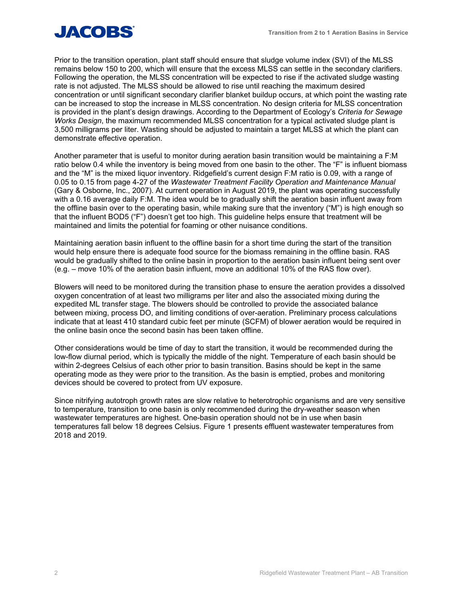

Prior to the transition operation, plant staff should ensure that sludge volume index (SVI) of the MLSS remains below 150 to 200, which will ensure that the excess MLSS can settle in the secondary clarifiers. Following the operation, the MLSS concentration will be expected to rise if the activated sludge wasting rate is not adjusted. The MLSS should be allowed to rise until reaching the maximum desired concentration or until significant secondary clarifier blanket buildup occurs, at which point the wasting rate can be increased to stop the increase in MLSS concentration. No design criteria for MLSS concentration is provided in the plant's design drawings. According to the Department of Ecology's *Criteria for Sewage Works Design*, the maximum recommended MLSS concentration for a typical activated sludge plant is 3,500 milligrams per liter. Wasting should be adjusted to maintain a target MLSS at which the plant can demonstrate effective operation.

Another parameter that is useful to monitor during aeration basin transition would be maintaining a F:M ratio below 0.4 while the inventory is being moved from one basin to the other. The "F" is influent biomass and the "M" is the mixed liquor inventory. Ridgefield's current design F:M ratio is 0.09, with a range of 0.05 to 0.15 from page 4-27 of the *Wastewater Treatment Facility Operation and Maintenance Manual*  (Gary & Osborne, Inc., 2007). At current operation in August 2019, the plant was operating successfully with a 0.16 average daily F:M. The idea would be to gradually shift the aeration basin influent away from the offline basin over to the operating basin, while making sure that the inventory ("M") is high enough so that the influent BOD5 ("F") doesn't get too high. This guideline helps ensure that treatment will be maintained and limits the potential for foaming or other nuisance conditions.

Maintaining aeration basin influent to the offline basin for a short time during the start of the transition would help ensure there is adequate food source for the biomass remaining in the offline basin. RAS would be gradually shifted to the online basin in proportion to the aeration basin influent being sent over (e.g. – move 10% of the aeration basin influent, move an additional 10% of the RAS flow over).

Blowers will need to be monitored during the transition phase to ensure the aeration provides a dissolved oxygen concentration of at least two milligrams per liter and also the associated mixing during the expedited ML transfer stage. The blowers should be controlled to provide the associated balance between mixing, process DO, and limiting conditions of over-aeration. Preliminary process calculations indicate that at least 410 standard cubic feet per minute (SCFM) of blower aeration would be required in the online basin once the second basin has been taken offline.

Other considerations would be time of day to start the transition, it would be recommended during the low-flow diurnal period, which is typically the middle of the night. Temperature of each basin should be within 2-degrees Celsius of each other prior to basin transition. Basins should be kept in the same operating mode as they were prior to the transition. As the basin is emptied, probes and monitoring devices should be covered to protect from UV exposure.

Since nitrifying autotroph growth rates are slow relative to heterotrophic organisms and are very sensitive to temperature, transition to one basin is only recommended during the dry-weather season when wastewater temperatures are highest. One-basin operation should not be in use when basin temperatures fall below 18 degrees Celsius. Figure 1 presents effluent wastewater temperatures from 2018 and 2019.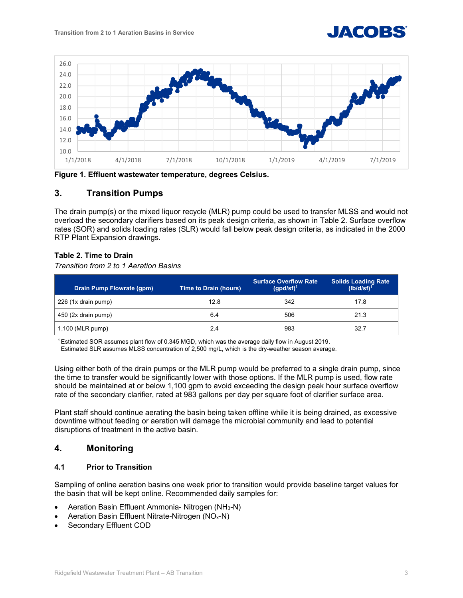



**Figure 1. Effluent wastewater temperature, degrees Celsius.** 

## **3. Transition Pumps**

The drain pump(s) or the mixed liquor recycle (MLR) pump could be used to transfer MLSS and would not overload the secondary clarifiers based on its peak design criteria, as shown in Table 2. Surface overflow rates (SOR) and solids loading rates (SLR) would fall below peak design criteria, as indicated in the 2000 RTP Plant Expansion drawings.

#### **Table 2. Time to Drain**

*Transition from 2 to 1 Aeration Basins* 

| Drain Pump Flowrate (qpm) | <b>Time to Drain (hours)</b> | <b>Surface Overflow Rate</b><br>$(gpd/sf)^1$ | <b>Solids Loading Rate</b><br>$(lb/d/sf)^1$ |
|---------------------------|------------------------------|----------------------------------------------|---------------------------------------------|
| 226 (1x drain pump)       | 12.8                         | 342                                          | 17.8                                        |
| 450 (2x drain pump)       | 6.4                          | 506                                          | 21.3                                        |
| 1,100 (MLR pump)          | 2.4                          | 983                                          | 32.7                                        |

1 Estimated SOR assumes plant flow of 0.345 MGD, which was the average daily flow in August 2019.

Estimated SLR assumes MLSS concentration of 2,500 mg/L, which is the dry-weather season average.

Using either both of the drain pumps or the MLR pump would be preferred to a single drain pump, since the time to transfer would be significantly lower with those options. If the MLR pump is used, flow rate should be maintained at or below 1,100 gpm to avoid exceeding the design peak hour surface overflow rate of the secondary clarifier, rated at 983 gallons per day per square foot of clarifier surface area.

Plant staff should continue aerating the basin being taken offline while it is being drained, as excessive downtime without feeding or aeration will damage the microbial community and lead to potential disruptions of treatment in the active basin.

## **4. Monitoring**

#### **4.1 Prior to Transition**

Sampling of online aeration basins one week prior to transition would provide baseline target values for the basin that will be kept online. Recommended daily samples for:

- Aeration Basin Effluent Ammonia- Nitrogen (NH3-N)
- Aeration Basin Effluent Nitrate-Nitrogen (NOx-N)
- Secondary Effluent COD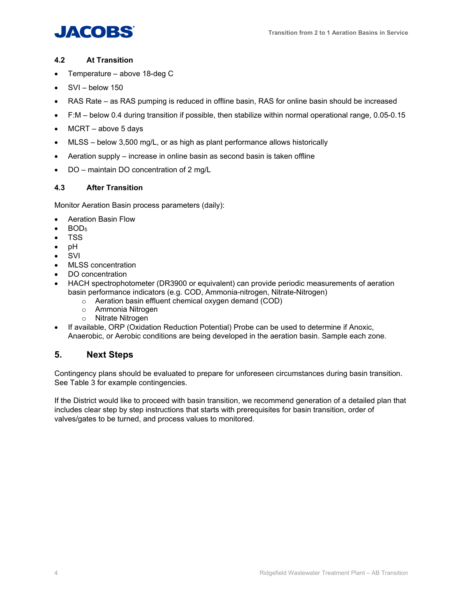# **JACOBS**

## **4.2 At Transition**

- Temperature above 18-deg C
- SVI below 150
- RAS Rate as RAS pumping is reduced in offline basin, RAS for online basin should be increased
- F:M below 0.4 during transition if possible, then stabilize within normal operational range, 0.05-0.15
- MCRT above 5 days
- MLSS below 3,500 mg/L, or as high as plant performance allows historically
- Aeration supply increase in online basin as second basin is taken offline
- DO maintain DO concentration of 2 mg/L

## **4.3 After Transition**

Monitor Aeration Basin process parameters (daily):

- Aeration Basin Flow
- BOD<sub>5</sub>
- TSS
- pH
- SVI
- MLSS concentration
- DO concentration
- HACH spectrophotometer (DR3900 or equivalent) can provide periodic measurements of aeration basin performance indicators (e.g. COD, Ammonia-nitrogen, Nitrate-Nitrogen)
	- o Aeration basin effluent chemical oxygen demand (COD)
	- o Ammonia Nitrogen
	- o Nitrate Nitrogen
- If available, ORP (Oxidation Reduction Potential) Probe can be used to determine if Anoxic, Anaerobic, or Aerobic conditions are being developed in the aeration basin. Sample each zone.

## **5. Next Steps**

Contingency plans should be evaluated to prepare for unforeseen circumstances during basin transition. See Table 3 for example contingencies.

If the District would like to proceed with basin transition, we recommend generation of a detailed plan that includes clear step by step instructions that starts with prerequisites for basin transition, order of valves/gates to be turned, and process values to monitored.